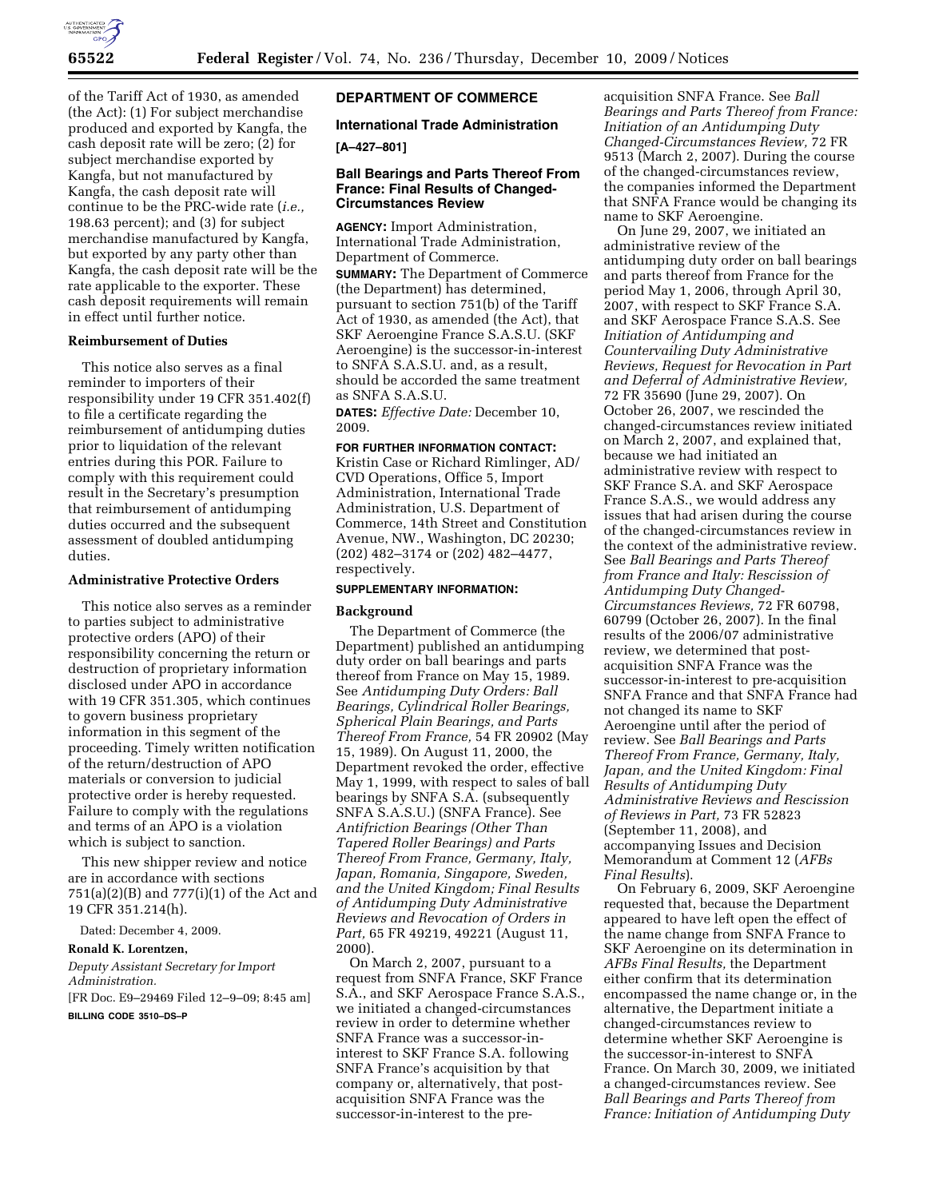

of the Tariff Act of 1930, as amended (the Act): (1) For subject merchandise produced and exported by Kangfa, the cash deposit rate will be zero; (2) for subject merchandise exported by Kangfa, but not manufactured by Kangfa, the cash deposit rate will continue to be the PRC-wide rate (*i.e.,*  198.63 percent); and (3) for subject merchandise manufactured by Kangfa, but exported by any party other than Kangfa, the cash deposit rate will be the rate applicable to the exporter. These cash deposit requirements will remain in effect until further notice.

# **Reimbursement of Duties**

This notice also serves as a final reminder to importers of their responsibility under 19 CFR 351.402(f) to file a certificate regarding the reimbursement of antidumping duties prior to liquidation of the relevant entries during this POR. Failure to comply with this requirement could result in the Secretary's presumption that reimbursement of antidumping duties occurred and the subsequent assessment of doubled antidumping duties.

#### **Administrative Protective Orders**

This notice also serves as a reminder to parties subject to administrative protective orders (APO) of their responsibility concerning the return or destruction of proprietary information disclosed under APO in accordance with 19 CFR 351.305, which continues to govern business proprietary information in this segment of the proceeding. Timely written notification of the return/destruction of APO materials or conversion to judicial protective order is hereby requested. Failure to comply with the regulations and terms of an APO is a violation which is subject to sanction.

This new shipper review and notice are in accordance with sections 751(a)(2)(B) and 777(i)(1) of the Act and 19 CFR 351.214(h).

Dated: December 4, 2009.

#### **Ronald K. Lorentzen,**

*Deputy Assistant Secretary for Import Administration.* 

[FR Doc. E9–29469 Filed 12–9–09; 8:45 am] **BILLING CODE 3510–DS–P** 

# **DEPARTMENT OF COMMERCE**

# **International Trade Administration**

### **[A–427–801]**

## **Ball Bearings and Parts Thereof From France: Final Results of Changed-Circumstances Review**

**AGENCY:** Import Administration, International Trade Administration, Department of Commerce. **SUMMARY:** The Department of Commerce (the Department) has determined,

pursuant to section 751(b) of the Tariff Act of 1930, as amended (the Act), that SKF Aeroengine France S.A.S.U. (SKF Aeroengine) is the successor-in-interest to SNFA S.A.S.U. and, as a result, should be accorded the same treatment as SNFA S.A.S.U.

**DATES:** *Effective Date:* December 10, 2009.

# **FOR FURTHER INFORMATION CONTACT:**

Kristin Case or Richard Rimlinger, AD/ CVD Operations, Office 5, Import Administration, International Trade Administration, U.S. Department of Commerce, 14th Street and Constitution Avenue, NW., Washington, DC 20230; (202) 482–3174 or (202) 482–4477, respectively.

#### **SUPPLEMENTARY INFORMATION:**

#### **Background**

The Department of Commerce (the Department) published an antidumping duty order on ball bearings and parts thereof from France on May 15, 1989. See *Antidumping Duty Orders: Ball Bearings, Cylindrical Roller Bearings, Spherical Plain Bearings, and Parts Thereof From France,* 54 FR 20902 (May 15, 1989). On August 11, 2000, the Department revoked the order, effective May 1, 1999, with respect to sales of ball bearings by SNFA S.A. (subsequently SNFA S.A.S.U.) (SNFA France). See *Antifriction Bearings (Other Than Tapered Roller Bearings) and Parts Thereof From France, Germany, Italy, Japan, Romania, Singapore, Sweden, and the United Kingdom; Final Results of Antidumping Duty Administrative Reviews and Revocation of Orders in Part,* 65 FR 49219, 49221 (August 11, 2000).

On March 2, 2007, pursuant to a request from SNFA France, SKF France S.A., and SKF Aerospace France S.A.S., we initiated a changed-circumstances review in order to determine whether SNFA France was a successor-ininterest to SKF France S.A. following SNFA France's acquisition by that company or, alternatively, that postacquisition SNFA France was the successor-in-interest to the preacquisition SNFA France. See *Ball Bearings and Parts Thereof from France: Initiation of an Antidumping Duty Changed-Circumstances Review,* 72 FR 9513 (March 2, 2007). During the course of the changed-circumstances review, the companies informed the Department that SNFA France would be changing its name to SKF Aeroengine.

On June 29, 2007, we initiated an administrative review of the antidumping duty order on ball bearings and parts thereof from France for the period May 1, 2006, through April 30, 2007, with respect to SKF France S.A. and SKF Aerospace France S.A.S. See *Initiation of Antidumping and Countervailing Duty Administrative Reviews, Request for Revocation in Part and Deferral of Administrative Review,*  72 FR 35690 (June 29, 2007). On October 26, 2007, we rescinded the changed-circumstances review initiated on March 2, 2007, and explained that, because we had initiated an administrative review with respect to SKF France S.A. and SKF Aerospace France S.A.S., we would address any issues that had arisen during the course of the changed-circumstances review in the context of the administrative review. See *Ball Bearings and Parts Thereof from France and Italy: Rescission of Antidumping Duty Changed-Circumstances Reviews,* 72 FR 60798, 60799 (October 26, 2007). In the final results of the 2006/07 administrative review, we determined that postacquisition SNFA France was the successor-in-interest to pre-acquisition SNFA France and that SNFA France had not changed its name to SKF Aeroengine until after the period of review. See *Ball Bearings and Parts Thereof From France, Germany, Italy, Japan, and the United Kingdom: Final Results of Antidumping Duty Administrative Reviews and Rescission of Reviews in Part,* 73 FR 52823 (September 11, 2008), and accompanying Issues and Decision Memorandum at Comment 12 (*AFBs Final Results*).

On February 6, 2009, SKF Aeroengine requested that, because the Department appeared to have left open the effect of the name change from SNFA France to SKF Aeroengine on its determination in *AFBs Final Results,* the Department either confirm that its determination encompassed the name change or, in the alternative, the Department initiate a changed-circumstances review to determine whether SKF Aeroengine is the successor-in-interest to SNFA France. On March 30, 2009, we initiated a changed-circumstances review. See *Ball Bearings and Parts Thereof from France: Initiation of Antidumping Duty*